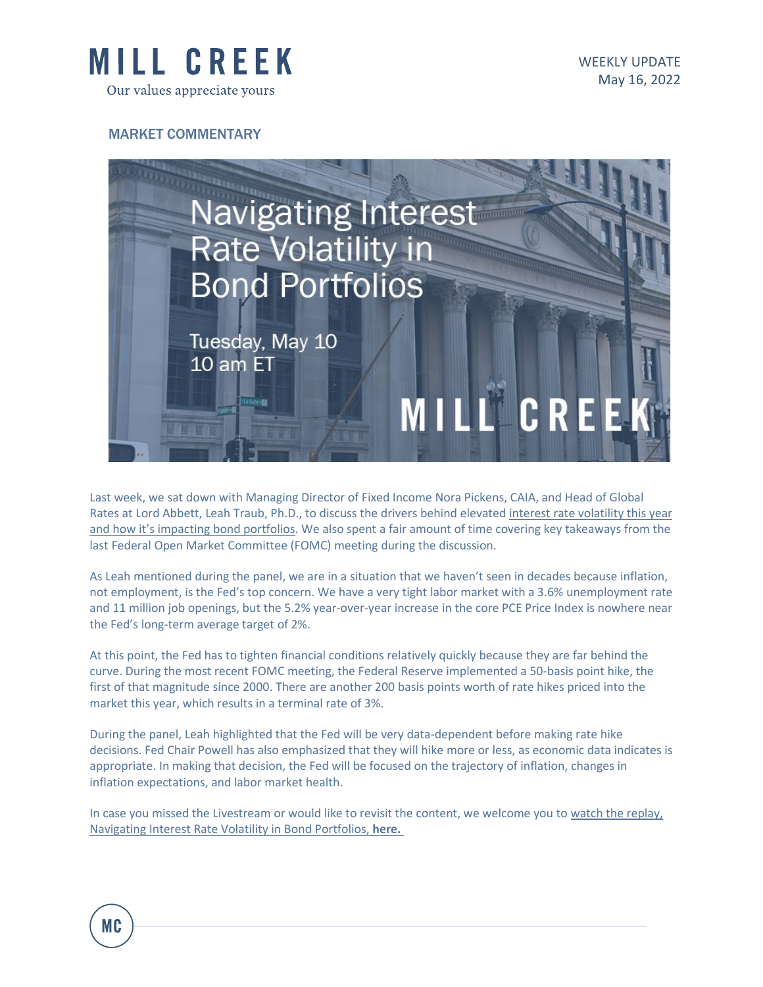

## MARKET COMMENTARY



Last week, we sat down with Managing Director of Fixed Income Nora Pickens, CAIA, and Head of Global Rates at Lord Abbett, Leah Traub, Ph.D., to discuss the drivers behind elevated [interest rate volatility this year](https://youtu.be/qtO3ESDDrkM)  [and how it's impacting bond portfolios.](https://youtu.be/qtO3ESDDrkM) We also spent a fair amount of time covering key takeaways from the last Federal Open Market Committee (FOMC) meeting during the discussion.

As Leah mentioned during the panel, we are in a situation that we haven't seen in decades because inflation, not employment, is the Fed's top concern. We have a very tight labor market with a 3.6% unemployment rate and 11 million job openings, but the 5.2% year-over-year increase in the core PCE Price Index is nowhere near the Fed's long-term average target of 2%.

At this point, the Fed has to tighten financial conditions relatively quickly because they are far behind the curve. During the most recent FOMC meeting, the Federal Reserve implemented a 50-basis point hike, the first of that magnitude since 2000. There are another 200 basis points worth of rate hikes priced into the market this year, which results in a terminal rate of 3%.

During the panel, Leah highlighted that the Fed will be very data-dependent before making rate hike decisions. Fed Chair Powell has also emphasized that they will hike more or less, as economic data indicates is appropriate. In making that decision, the Fed will be focused on the trajectory of inflation, changes in inflation expectations, and labor market health.

In case you missed the Livestream or would like to revisit the content, we welcome you to [watch the replay,](https://youtu.be/qtO3ESDDrkM)  [Navigating Interest Rate Volatility in Bond Portfolios,](https://youtu.be/qtO3ESDDrkM) **[here.](https://youtu.be/qtO3ESDDrkM)**